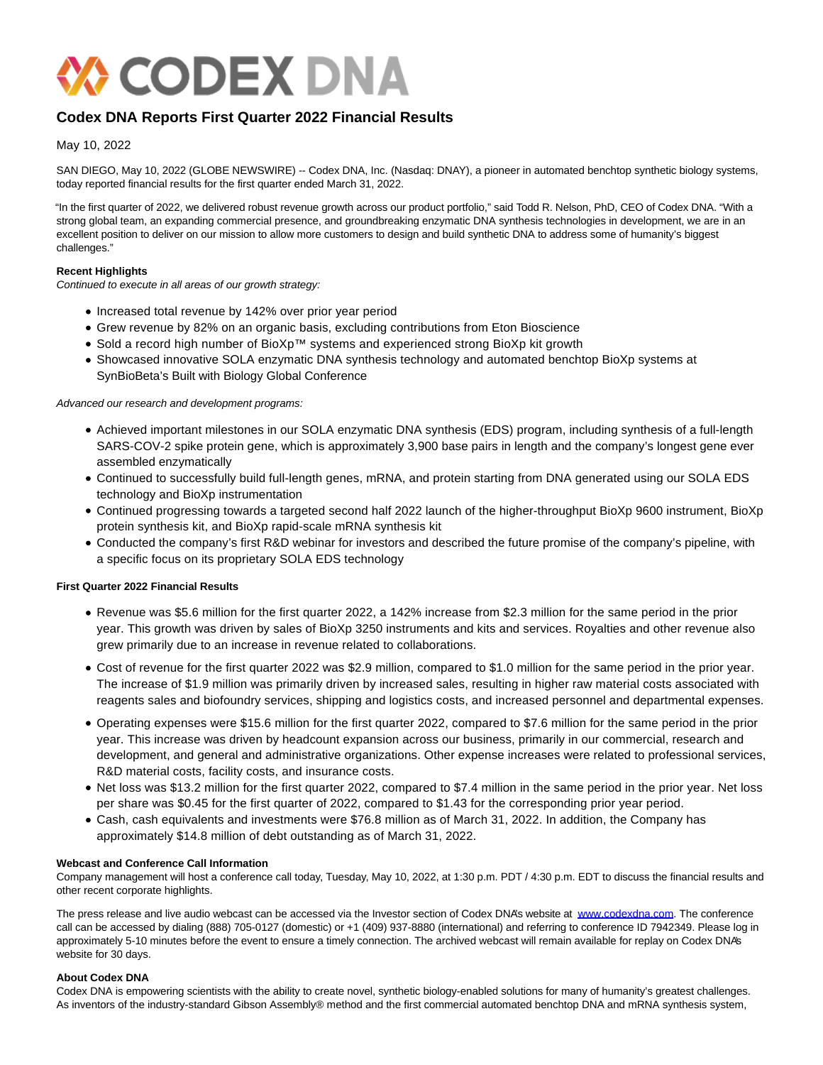

# **Codex DNA Reports First Quarter 2022 Financial Results**

May 10, 2022

SAN DIEGO, May 10, 2022 (GLOBE NEWSWIRE) -- Codex DNA, Inc. (Nasdaq: DNAY), a pioneer in automated benchtop synthetic biology systems, today reported financial results for the first quarter ended March 31, 2022.

"In the first quarter of 2022, we delivered robust revenue growth across our product portfolio," said Todd R. Nelson, PhD, CEO of Codex DNA. "With a strong global team, an expanding commercial presence, and groundbreaking enzymatic DNA synthesis technologies in development, we are in an excellent position to deliver on our mission to allow more customers to design and build synthetic DNA to address some of humanity's biggest challenges."

#### **Recent Highlights**

Continued to execute in all areas of our growth strategy:

- Increased total revenue by 142% over prior year period
- Grew revenue by 82% on an organic basis, excluding contributions from Eton Bioscience
- Sold a record high number of BioXp™ systems and experienced strong BioXp kit growth
- Showcased innovative SOLA enzymatic DNA synthesis technology and automated benchtop BioXp systems at SynBioBeta's Built with Biology Global Conference

Advanced our research and development programs:

- Achieved important milestones in our SOLA enzymatic DNA synthesis (EDS) program, including synthesis of a full-length SARS-COV-2 spike protein gene, which is approximately 3,900 base pairs in length and the company's longest gene ever assembled enzymatically
- Continued to successfully build full-length genes, mRNA, and protein starting from DNA generated using our SOLA EDS technology and BioXp instrumentation
- Continued progressing towards a targeted second half 2022 launch of the higher-throughput BioXp 9600 instrument, BioXp protein synthesis kit, and BioXp rapid-scale mRNA synthesis kit
- Conducted the company's first R&D webinar for investors and described the future promise of the company's pipeline, with a specific focus on its proprietary SOLA EDS technology

#### **First Quarter 2022 Financial Results**

- Revenue was \$5.6 million for the first quarter 2022, a 142% increase from \$2.3 million for the same period in the prior year. This growth was driven by sales of BioXp 3250 instruments and kits and services. Royalties and other revenue also grew primarily due to an increase in revenue related to collaborations.
- Cost of revenue for the first quarter 2022 was \$2.9 million, compared to \$1.0 million for the same period in the prior year. The increase of \$1.9 million was primarily driven by increased sales, resulting in higher raw material costs associated with reagents sales and biofoundry services, shipping and logistics costs, and increased personnel and departmental expenses.
- Operating expenses were \$15.6 million for the first quarter 2022, compared to \$7.6 million for the same period in the prior year. This increase was driven by headcount expansion across our business, primarily in our commercial, research and development, and general and administrative organizations. Other expense increases were related to professional services, R&D material costs, facility costs, and insurance costs.
- Net loss was \$13.2 million for the first quarter 2022, compared to \$7.4 million in the same period in the prior year. Net loss per share was \$0.45 for the first quarter of 2022, compared to \$1.43 for the corresponding prior year period.
- Cash, cash equivalents and investments were \$76.8 million as of March 31, 2022. In addition, the Company has approximately \$14.8 million of debt outstanding as of March 31, 2022.

#### **Webcast and Conference Call Information**

Company management will host a conference call today, Tuesday, May 10, 2022, at 1:30 p.m. PDT / 4:30 p.m. EDT to discuss the financial results and other recent corporate highlights.

The press release and live audio webcast can be accessed via the Investor section of Codex DNA's website at [www.codexdna.com.](https://www.globenewswire.com/Tracker?data=KCoMzJ7GuvKJSs0Uic3NOUOdT6ZNDO-8lAh3ddsoenPUDwpRgrNc3Mbgiqe_hLXPAyy5vnUjMKDJBZo-sLDOOg==) The conference call can be accessed by dialing (888) 705-0127 (domestic) or +1 (409) 937-8880 (international) and referring to conference ID 7942349. Please log in approximately 5-10 minutes before the event to ensure a timely connection. The archived webcast will remain available for replay on Codex DNA's website for 30 days.

## **About Codex DNA**

Codex DNA is empowering scientists with the ability to create novel, synthetic biology-enabled solutions for many of humanity's greatest challenges. As inventors of the industry-standard Gibson Assembly® method and the first commercial automated benchtop DNA and mRNA synthesis system,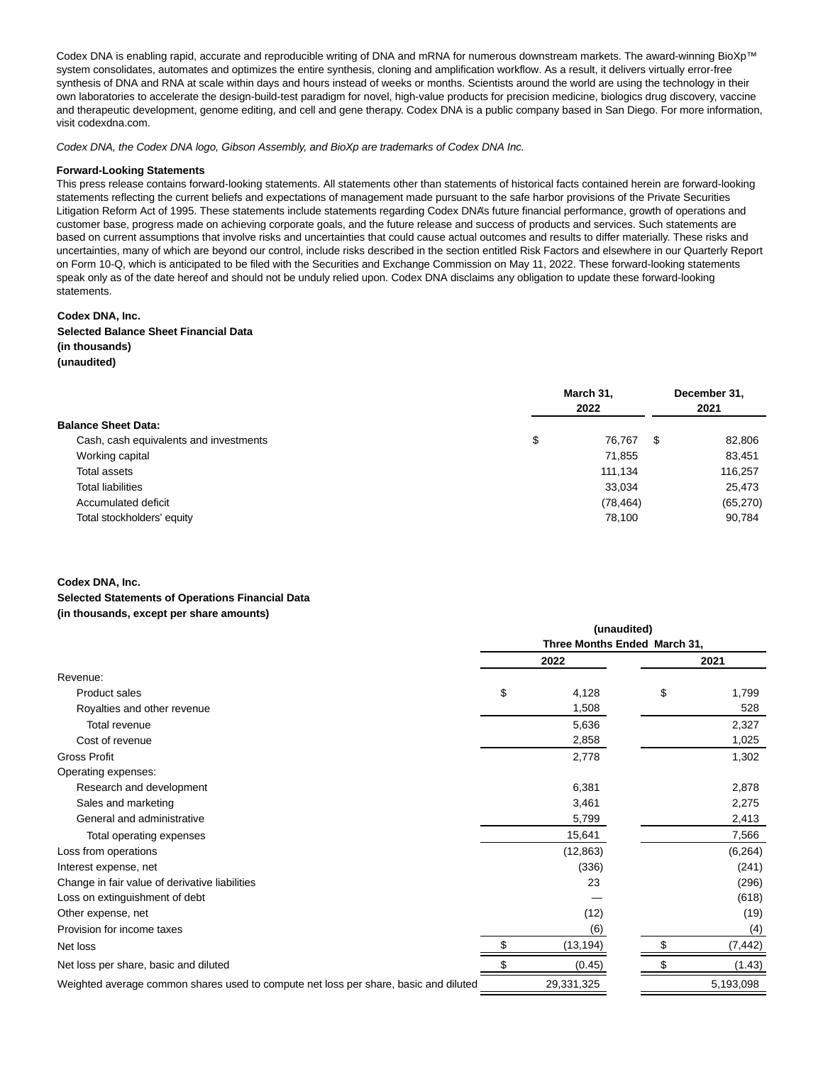Codex DNA is enabling rapid, accurate and reproducible writing of DNA and mRNA for numerous downstream markets. The award-winning BioXp™ system consolidates, automates and optimizes the entire synthesis, cloning and amplification workflow. As a result, it delivers virtually error-free synthesis of DNA and RNA at scale within days and hours instead of weeks or months. Scientists around the world are using the technology in their own laboratories to accelerate the design-build-test paradigm for novel, high-value products for precision medicine, biologics drug discovery, vaccine and therapeutic development, genome editing, and cell and gene therapy. Codex DNA is a public company based in San Diego. For more information, visit codexdna.com.

Codex DNA, the Codex DNA logo, Gibson Assembly, and BioXp are trademarks of Codex DNA Inc.

#### **Forward-Looking Statements**

This press release contains forward-looking statements. All statements other than statements of historical facts contained herein are forward-looking statements reflecting the current beliefs and expectations of management made pursuant to the safe harbor provisions of the Private Securities Litigation Reform Act of 1995. These statements include statements regarding Codex DNA's future financial performance, growth of operations and customer base, progress made on achieving corporate goals, and the future release and success of products and services. Such statements are based on current assumptions that involve risks and uncertainties that could cause actual outcomes and results to differ materially. These risks and uncertainties, many of which are beyond our control, include risks described in the section entitled Risk Factors and elsewhere in our Quarterly Report on Form 10-Q, which is anticipated to be filed with the Securities and Exchange Commission on May 11, 2022. These forward-looking statements speak only as of the date hereof and should not be unduly relied upon. Codex DNA disclaims any obligation to update these forward-looking statements.

#### **Codex DNA, Inc.**

## **Selected Balance Sheet Financial Data**

## **(in thousands)**

## **(unaudited)**

|                                        | March 31,<br>2022 |   | December 31,<br>2021 |
|----------------------------------------|-------------------|---|----------------------|
| <b>Balance Sheet Data:</b>             |                   |   |                      |
| Cash, cash equivalents and investments | \$<br>76.767      | S | 82,806               |
| Working capital                        | 71,855            |   | 83,451               |
| Total assets                           | 111.134           |   | 116,257              |
| Total liabilities                      | 33,034            |   | 25,473               |
| Accumulated deficit                    | (78, 464)         |   | (65, 270)            |
| Total stockholders' equity             | 78,100            |   | 90,784               |

#### **Codex DNA, Inc.**

## **Selected Statements of Operations Financial Data (in thousands, except per share amounts)**

|                                                                                      | (unaudited)<br>Three Months Ended March 31, |            |    |           |
|--------------------------------------------------------------------------------------|---------------------------------------------|------------|----|-----------|
|                                                                                      |                                             |            |    |           |
|                                                                                      |                                             | 2022       |    | 2021      |
| Revenue:                                                                             |                                             |            |    |           |
| Product sales                                                                        | \$                                          | 4,128      | \$ | 1,799     |
| Royalties and other revenue                                                          |                                             | 1,508      |    | 528       |
| Total revenue                                                                        |                                             | 5,636      |    | 2,327     |
| Cost of revenue                                                                      |                                             | 2,858      |    | 1,025     |
| <b>Gross Profit</b>                                                                  |                                             | 2,778      |    | 1,302     |
| Operating expenses:                                                                  |                                             |            |    |           |
| Research and development                                                             |                                             | 6,381      |    | 2,878     |
| Sales and marketing                                                                  |                                             | 3,461      |    | 2,275     |
| General and administrative                                                           |                                             | 5,799      |    | 2,413     |
| Total operating expenses                                                             |                                             | 15,641     |    | 7,566     |
| Loss from operations                                                                 |                                             | (12, 863)  |    | (6, 264)  |
| Interest expense, net                                                                |                                             | (336)      |    | (241)     |
| Change in fair value of derivative liabilities                                       |                                             | 23         |    | (296)     |
| Loss on extinguishment of debt                                                       |                                             |            |    | (618)     |
| Other expense, net                                                                   |                                             | (12)       |    | (19)      |
| Provision for income taxes                                                           |                                             | (6)        |    | (4)       |
| Net loss                                                                             |                                             | (13, 194)  |    | (7, 442)  |
| Net loss per share, basic and diluted                                                |                                             | (0.45)     |    | (1.43)    |
| Weighted average common shares used to compute net loss per share, basic and diluted |                                             | 29,331,325 |    | 5,193,098 |